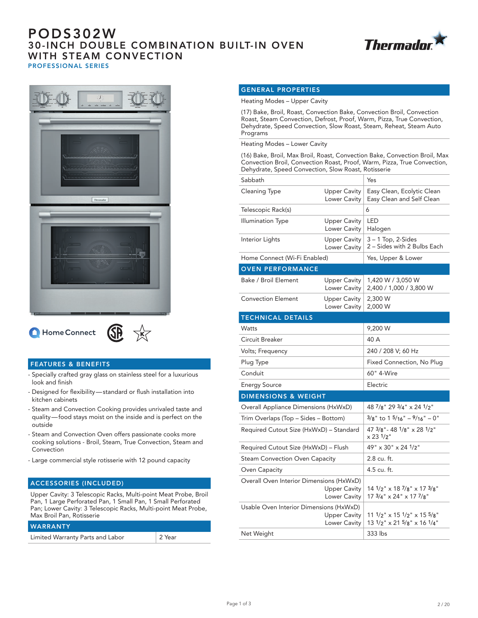## PODS302W 30-INCH DOUBLE COMBINATION BUILT-IN OVEN WITH STEAM CONVECTION PROFESSIONAL SERIES





Home Connect



### FEATURES & BENEFITS

- Specially crafted gray glass on stainless steel for a luxurious look and finish
- Designed for flexibility standard or flush installation into kitchen cabinets
- Steam and Convection Cooking provides unrivaled taste and quality — food stays moist on the inside and is perfect on the outside
- Steam and Convection Oven offers passionate cooks more cooking solutions - Broil, Steam, True Convection, Steam and Convection
- Large commercial style rotisserie with 12 pound capacity

#### ACCESSORIES (INCLUDED)

WARRANTY

Upper Cavity: 3 Telescopic Racks, Multi-point Meat Probe, Broil Pan, 1 Large Perforated Pan, 1 Small Pan, 1 Small Perforated Pan; Lower Cavity: 3 Telescopic Racks, Multi-point Meat Probe, Max Broil Pan, Rotisserie

| IWARRANIY                        |        |
|----------------------------------|--------|
| Limited Warranty Parts and Labor | 2 Year |

### GENERAL PROPERTIES

Heating Modes – Upper Cavity

(17) Bake, Broil, Roast, Convection Bake, Convection Broil, Convection Roast, Steam Convection, Defrost, Proof, Warm, Pizza, True Convection, Dehydrate, Speed Convection, Slow Roast, Steam, Reheat, Steam Auto Programs

Heating Modes – Lower Cavity

(16) Bake, Broil, Max Broil, Roast, Convection Bake, Convection Broil, Max Convection Broil, Convection Roast, Proof, Warm, Pizza, True Convection, Dehydrate, Speed Convection, Slow Roast, Rotisserie

| Sabbath                                                                         |                                     | Yes                                                                                                                         |
|---------------------------------------------------------------------------------|-------------------------------------|-----------------------------------------------------------------------------------------------------------------------------|
| <b>Cleaning Type</b>                                                            | <b>Upper Cavity</b><br>Lower Cavity | Easy Clean, Ecolytic Clean<br>Easy Clean and Self Clean                                                                     |
| Telescopic Rack(s)                                                              |                                     | 6                                                                                                                           |
| Illumination Type                                                               | <b>Upper Cavity</b><br>Lower Cavity | LED<br>Halogen                                                                                                              |
| Interior Lights                                                                 | <b>Upper Cavity</b><br>Lower Cavity | $3 - 1$ Top, 2-Sides<br>2 - Sides with 2 Bulbs Each                                                                         |
| Home Connect (Wi-Fi Enabled)                                                    |                                     | Yes, Upper & Lower                                                                                                          |
| <b>OVEN PERFORMANCE</b>                                                         |                                     |                                                                                                                             |
| Bake / Broil Element                                                            | <b>Upper Cavity</b><br>Lower Cavity | 1,420 W / 3,050 W<br>2,400 / 1,000 / 3,800 W                                                                                |
| <b>Convection Element</b>                                                       | <b>Upper Cavity</b><br>Lower Cavity | 2,300 W<br>2,000 W                                                                                                          |
| <b>TECHNICAL DETAILS</b>                                                        |                                     |                                                                                                                             |
| Watts                                                                           |                                     | 9,200 W                                                                                                                     |
| Circuit Breaker                                                                 |                                     | 40 A                                                                                                                        |
| Volts; Frequency                                                                |                                     | 240 / 208 V; 60 Hz                                                                                                          |
| Plug Type                                                                       |                                     | Fixed Connection, No Plug                                                                                                   |
| Conduit                                                                         |                                     | 60" 4-Wire                                                                                                                  |
| <b>Energy Source</b>                                                            |                                     | Electric                                                                                                                    |
| <b>DIMENSIONS &amp; WEIGHT</b>                                                  |                                     |                                                                                                                             |
| Overall Appliance Dimensions (HxWxD)                                            |                                     | 48 7/8" 29 3/4" x 24 1/2"                                                                                                   |
| Trim Overlaps (Top – Sides – Bottom)                                            |                                     | $3/8$ " to 1 $5/16$ " – $9/16$ " – 0"                                                                                       |
| Required Cutout Size (HxWxD) - Standard                                         |                                     | 47 3/8" - 48 1/8" x 28 1/2"<br>$\times$ 23 $1/2$ "                                                                          |
| Required Cutout Size (HxWxD) - Flush                                            |                                     | 49" x 30" x 24 1/2"                                                                                                         |
| Steam Convection Oven Capacity                                                  |                                     | 2.8 cu. ft.                                                                                                                 |
| Oven Capacity                                                                   |                                     | 4.5 cu. ft.                                                                                                                 |
| Overall Oven Interior Dimensions (HxWxD)<br><b>Upper Cavity</b><br>Lower Cavity |                                     | $14 \frac{1}{2}$ " x 18 $\frac{7}{8}$ " x 17 $\frac{3}{8}$ "<br>$17 \frac{3}{4}$ " $\times$ 24" $\times$ 17 $\frac{7}{8}$ " |
| Usable Oven Interior Dimensions (HxWxD)<br><b>Upper Cavity</b><br>Lower Cavity  |                                     | $111/2$ " $\times$ 15 $1/2$ " $\times$ 15 $5/8$ "<br>$13 \frac{1}{2}$ " x 21 $\frac{5}{8}$ " x 16 $\frac{1}{4}$ "           |
| Net Weight                                                                      |                                     | 333 lbs                                                                                                                     |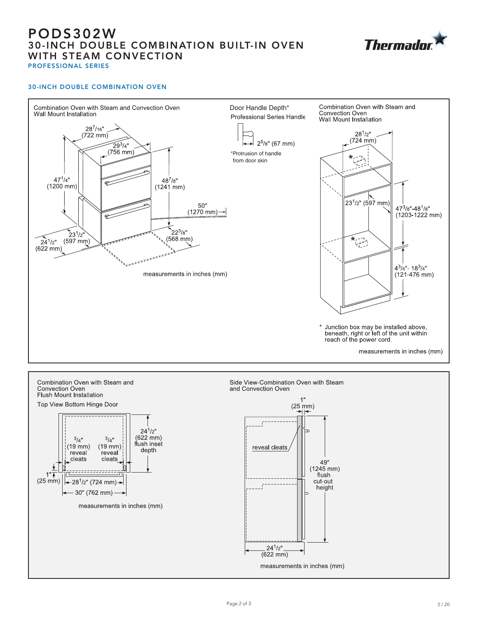# PODS302W 30-INCH DOUBLE COMBINATION BUILT-IN OVEN WITH STEAM CONVECTION PROFESSIONAL SERIES



### 30-INCH DOUBLE COMBINATION OVEN





reveal cleats 49"  $(1245 \, \text{mm})$ flush cut-out height  $24^{1}/2"$  $(622 \text{ mm})$ 

measurements in inches (mm)